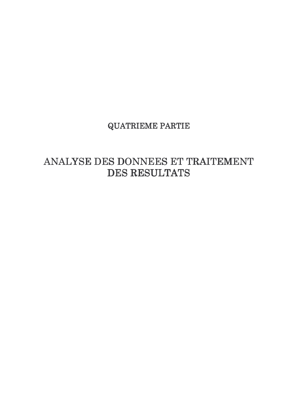# **QUATRIEME PARTIE**

# ANALYSE DES DONNEES ET TRAITEMENT DES RESULTATS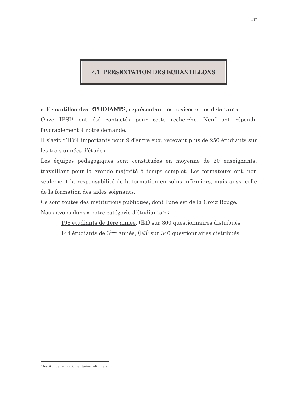# **4.1 PRESENTATION DES ECHANTILLONS**

# **ω** Echantillon des ETUDIANTS, représentant les novices et les débutants

Onze IFSI<sup>1</sup> ont été contactés pour cette recherche. Neuf ont répondu favorablement à notre demande.

Il s'agit d'IFSI importants pour 9 d'entre eux, recevant plus de 250 étudiants sur les trois années d'études.

Les équipes pédagogiques sont constituées en moyenne de 20 enseignants, travaillant pour la grande majorité à temps complet. Les formateurs ont, non seulement la responsabilité de la formation en soins infirmiers, mais aussi celle de la formation des aides soignants.

Ce sont toutes des institutions publiques, dont l'une est de la Croix Rouge. Nous avons dans « notre catégorie d'étudiants » :

> 198 étudiants de 1ère année, (E1) sur 300 questionnaires distribués 144 étudiants de 3<sup>ème</sup> année, (E3) sur 340 questionnaires distribués

<sup>&</sup>lt;sup>1</sup> Institut de Formation en Soins Infirmiers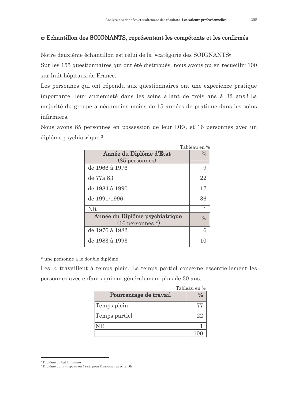# π Echantillon des SOIGNANTS, représentant les compétents et les confirmés

Notre deuxième échantillon est celui de la «catégorie des SOIGNANTS»

Sur les 155 questionnaires qui ont été distribués, nous avons pu en recueillir 100 sur huit hôpitaux de France.

Les personnes qui ont répondu aux questionnaires ont une expérience pratique importante, leur ancienneté dans les soins allant de trois ans à 32 ans! La majorité du groupe a néanmoins moins de 15 années de pratique dans les soins infirmiers.

Nous avons 85 personnes en possession de leur DE<sup>2</sup>, et 16 personnes avec un diplôme psychiatrique.<sup>3</sup>

|                                | Tableau en %  |
|--------------------------------|---------------|
| Année du Diplôme d'Etat        | $\frac{0}{0}$ |
| $(85$ personnes)               |               |
| de 1966 à 1976                 | 9             |
| de 77à 83                      | 22            |
| de 1984 à 1990                 | 17            |
| de 1991-1996                   | 36            |
| NR                             | 1             |
| Année du Diplôme psychiatrique | $\frac{0}{0}$ |
| $(16 \text{ persons}^*)$       |               |
| de 1976 à 1982                 | 6             |
| de 1983 à 1993                 |               |

\* une personne a le double diplôme

Les ¼ travaillent à temps plein. Le temps partiel concerne essentiellement les personnes avec enfants qui ont généralement plus de 30 ans.

|                        | Tableau en % |
|------------------------|--------------|
| Pourcentage de travail |              |
| Temps plein            | 77           |
| Temps partiel          | 22           |
| NR.                    |              |
|                        |              |

<sup>&</sup>lt;sup>2</sup> Diplôme d'Etat Infirmier.

<sup>&</sup>lt;sup>3</sup> Diplôme qui a disparu en 1992, pour fusionner avec le DE.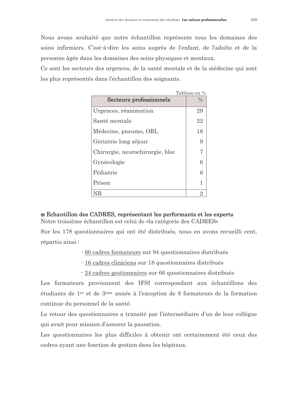Nous avons souhaité que notre échantillon représente tous les domaines des soins infirmiers. C'est-à-dire les soins auprès de l'enfant, de l'adulte et de la personne âgée dans les domaines des soins physiques et mentaux.

Ce sont les secteurs des urgences, de la santé mentale et de la médecine qui sont les plus représentés dans l'échantillon des soignants.

|                                 | Tableau en %  |
|---------------------------------|---------------|
| <b>Secteurs professionnels</b>  | $\frac{0}{0}$ |
| Urgences, réanimation           | 29            |
| Santé mentale                   | 22            |
| Médecine, pneumo, ORL           | 18            |
| Gériatrie long séjour           | 9             |
| Chirurgie, neurochirurgie, bloc |               |
| Gynécologie                     | 6             |
| Pédiatrie                       | 6             |
| Prison                          |               |
|                                 | 2             |

# σ Echantillon des CADRES, représentant les performants et les experts

Notre troisième échantillon est celui de «la catégorie des CADRES»

Sur les 178 questionnaires qui ont été distribués, nous en avons recueilli cent, répartis ainsi:

- 60 cadres formateurs sur 94 questionnaires distribués
- 16 cadres cliniciens sur 18 questionnaires distribués
- 24 cadres gestionnaires sur 66 questionnaires distribués

Les formateurs proviennent des IFSI correspondant aux échantillons des étudiants de 1<sup>er</sup> et de 3<sup>ème</sup> année à l'exception de 8 formateurs de la formation continue du personnel de la santé.

Le retour des questionnaires a transité par l'intermédiaire d'un de leur collègue qui avait pour mission d'assurer la passation.

Les questionnaires les plus difficiles à obtenir ont certainement été ceux des cadres ayant une fonction de gestion dans les hôpitaux.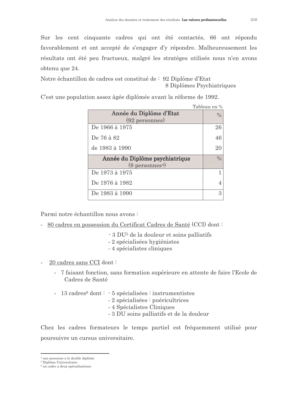Sur les cent cinquante cadres qui ont été contactés, 66 ont répondu favorablement et ont accepté de s'engager d'y répondre. Malheureusement les résultats ont été peu fructueux, malgré les stratèges utilisés nous n'en avons obtenu que 24.

Notre échantillon de cadres est constitué de : 92 Diplôme d'Etat 8 Diplômes Psychiatriques

C'est une population assez âgée diplômée avant la réforme de 1992.

|                                | Tableau en %  |
|--------------------------------|---------------|
| Année du Diplôme d'Etat        | $\frac{0}{0}$ |
| $(92$ personnes)               |               |
| De 1966 à 1975                 | 26            |
| De 76 à 82                     | 46            |
| de 1983 à 1990                 | 20            |
| Année du Diplôme psychiatrique | $\frac{0}{0}$ |
| $(8 \text{ persons}^4)$        |               |
| De 1973 à 1975                 |               |
| De 1976 à 1982                 |               |
| De 1983 à 1990                 | З             |

Parmi notre échantillon nous avons :

- 80 cadres en possession du Certificat Cadres de Santé (CCI) dont :
	- 3 DU<sup>5</sup> de la douleur et soins palliatifs
	- 2 spécialisées hygiénistes
	- 4 spécialistes cliniques
- 20 cadres sans CCI dont:
	- 7 faisant fonction, sans formation supérieure en attente de faire l'Ecole de Cadres de Santé
	- 13 cadres  $6$  dont :  $-5$  spécialisées : instrumentistes
		- 2 spécialisées : puéricultrices
		- 4 Spécialistes Cliniques
		- 3 DU soins palliatifs et de la douleur

Chez les cadres formateurs le temps partiel est fréquemment utilisé pour poursuivre un cursus universitaire.

<sup>&</sup>lt;sup>4</sup> une personne a le double diplôme

<sup>&</sup>lt;sup>5</sup> Diplôme Universitaire

 $6 \text{ un }$  cadre a deux spécialisations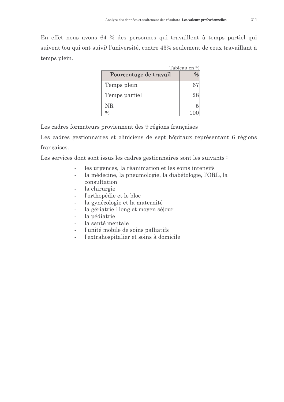En effet nous avons 64 % des personnes qui travaillent à temps partiel qui suivent (ou qui ont suivi) l'université, contre 43% seulement de ceux travaillant à temps plein.

|                        | Tableau en % |
|------------------------|--------------|
| Pourcentage de travail |              |
| Temps plein            |              |
| Temps partiel          | 28           |
| NR.                    |              |
|                        |              |

Les cadres formateurs proviennent des 9 régions françaises

Les cadres gestionnaires et cliniciens de sept hôpitaux représentant 6 régions françaises.

Les services dont sont issus les cadres gestionnaires sont les suivants :

- les urgences, la réanimation et les soins intensifs
- la médecine, la pneumologie, la diabétologie, l'ORL, la  $\mathbb{Z}^{\mathbb{Z}}$ consultation
- la chirurgie  $\sim$
- l'orthopédie et le bloc  $\mathcal{L}^{\mathcal{A}}$
- la gynécologie et la maternité L.
- la gériatrie : long et moyen séjour  $\sim$
- la pédiatrie  $\sim$
- la santé mentale  $\sim$
- l'unité mobile de soins palliatifs
- l'extrahospitalier et soins à domicile  $\Box$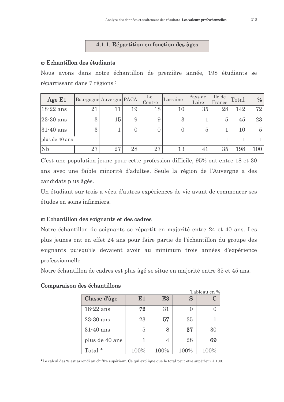# 4.1.1. Répartition en fonction des âges

#### $\boldsymbol{\varpi}$  Echantillon des étudiants

Nous avons dans notre échantillon de première année, 198 étudiants se répartissant dans 7 régions :

| Age E1         | Bourgogne Auvergne PACA |    |    | Le<br>Centre | Lorraine | Pays de<br>Loire | Ile de<br>France | Total | $\%$           |
|----------------|-------------------------|----|----|--------------|----------|------------------|------------------|-------|----------------|
| $18-22$ ans    | 21                      | 11 | 19 | 18           | 10       | 35               | 28               | 142   | 72             |
| $ 23-30 $ ans  | 3                       | 15 | 9  | 9            | 3        |                  | $\overline{5}$   | 45    | 23             |
| $ 31-40 $ ans  | 3                       |    | 0  |              |          | 5                |                  | 10    | $\overline{5}$ |
| plus de 40 ans |                         |    |    |              |          |                  |                  |       | $-1$           |
| Nb             | 27                      | 27 | 28 | 27           | 13       | 41               | 35               | 198   | 100            |

C'est une population jeune pour cette profession difficile, 95% ont entre 18 et 30 ans avec une faible minorité d'adultes. Seule la région de l'Auvergne a des candidats plus âgés.

Un étudiant sur trois a vécu d'autres expériences de vie avant de commencer ses études en soins infirmiers.

#### $\boldsymbol{\varpi}$  Echantillon des soignants et des cadres

Notre échantillon de soignants se répartit en majorité entre 24 et 40 ans. Les plus jeunes ont en effet 24 ans pour faire partie de l'échantillon du groupe des soignants puisqu'ils devaient avoir au minimum trois années d'expérience professionnelle

Notre échantillon de cadres est plus âgé se situe en majorité entre 35 et 45 ans.

#### Comparaison des échantillons

|                |      |      |      | Tableau en % |
|----------------|------|------|------|--------------|
| Classe d'âge   | E1   | E3   |      | C            |
| 18-22 ans      | 72   | 31   |      |              |
| $23-30$ ans    | 23   | 57   | 35   |              |
| $31-40$ ans    | 5    | 8    | 37   | 30           |
| plus de 40 ans |      |      | 28   | 69           |
| Total *        | 100% | 100% | 100% | 100%         |

 $m+1$ 

 $\sim$ 

\*Le calcul des % est arrondi au chiffre supérieur. Ce qui explique que le total peut être supérieur à 100.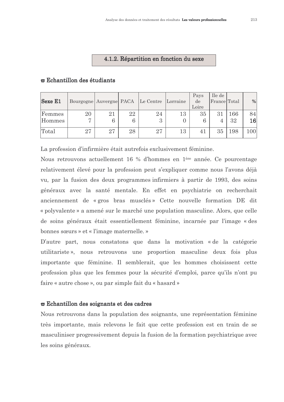#### 4.1.2. Répartition en fonction du sexe

| <b>Sexe E1</b>   | Bourgogne Auvergne PACA |    |         | Le Centre | Lorraine | Pays<br>de<br>Loire | Ile de<br>France Total |           | %               |
|------------------|-------------------------|----|---------|-----------|----------|---------------------|------------------------|-----------|-----------------|
| Femmes<br>Hommes | 20                      | 21 | 22<br>6 | 24<br>3   | 13       | 35<br>6             | 31                     | 166<br>32 | 84<br>$16\vert$ |
| Total            | 27                      | 27 | 28      | 27        | 13       | 41                  | 35                     | 198       | 100             |

#### σ Echantillon des étudiants

La profession d'infirmière était autrefois exclusivement féminine.

Nous retrouvons actuellement 16 % d'hommes en 1<sup>ère</sup> année. Ce pourcentage relativement élevé pour la profession peut s'expliquer comme nous l'avons déjà vu, par la fusion des deux programmes infirmiers à partir de 1993, des soins généraux avec la santé mentale. En effet en psychiatrie on recherchait anciennement de « gros bras musclés » Cette nouvelle formation DE dit « polyvalente » a amené sur le marché une population masculine. Alors, que celle de soins généraux était essentiellement féminine, incarnée par l'image « des bonnes sœurs » et « l'image maternelle. »

D'autre part, nous constatons que dans la motivation « de la catégorie utilitariste», nous retrouvons une proportion masculine deux fois plus importante que féminine. Il semblerait, que les hommes choisissent cette profession plus que les femmes pour la sécurité d'emploi, parce qu'ils n'ont pu faire « autre chose », ou par simple fait du « has ard »

#### $\boldsymbol{\sigma}$  Echantillon des soignants et des cadres

Nous retrouvons dans la population des soignants, une représentation féminine très importante, mais relevons le fait que cette profession est en train de se masculiniser progressivement depuis la fusion de la formation psychiatrique avec les soins généraux.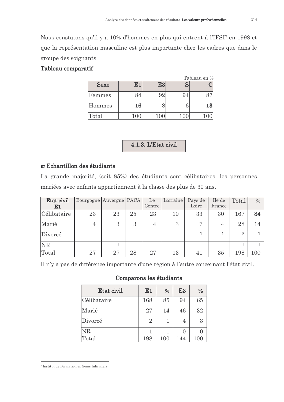Nous constatons qu'il y a 10% d'hommes en plus qui entrent à l'IFSI<sup>7</sup> en 1998 et que la représentation masculine est plus importante chez les cadres que dans le groupe des soignants

#### Tableau comparatif

|             | Tableau en % |    |    |    |
|-------------|--------------|----|----|----|
| <b>Sexe</b> | К.           | E3 |    |    |
| Femmes      |              | 92 | 94 |    |
| Hommes      | 16           |    |    | 13 |
| Total       |              |    |    |    |

4.1.3. L'Etat civil

# **σ** Echantillon des étudiants

La grande majorité, (soit 85%) des étudiants sont célibataires, les personnes mariées avec enfants appartiennent à la classe des plus de 30 ans.

| Etat civil  | Bourgogne Auvergne PACA |    |    | Le     | Lorraine | Pays de | Ile de         | Total          | $\frac{0}{0}$ |
|-------------|-------------------------|----|----|--------|----------|---------|----------------|----------------|---------------|
| E1          |                         |    |    | Centre |          | Loire   | France         |                |               |
| Célibataire | 23                      | 23 | 25 | 23     | 10       | 33      | 30             | 167            | 84            |
| Marié       | $\overline{4}$          | 3  | 3  | 4      | 3        | 7       | $\overline{4}$ | 28             | 14            |
| Divorcé     |                         |    |    |        |          |         |                | $\overline{2}$ |               |
| <b>NR</b>   |                         |    |    |        |          |         |                |                |               |
| Total       | 27                      | 27 | 28 | 27     | 13       | 41      | 35             | 198            | 100           |

Il n'y a pas de différence importante d'une région à l'autre concernant l'état civil.

| Etat civil  | E <sub>1</sub> | $\%$ | E <sub>3</sub> | %  |
|-------------|----------------|------|----------------|----|
| Célibataire | 168            | 85   | 94             | 65 |
| Marié       | 27             | 14   | 46             | 32 |
| Divorcé     | $\overline{2}$ | 1    | 4              | 3  |
| <b>NR</b>   |                |      |                |    |
| Total       | 198            | 100  | 144            |    |

#### Comparons les étudiants

<sup>&</sup>lt;sup>7</sup> Institut de Formation en Soins Infirmiers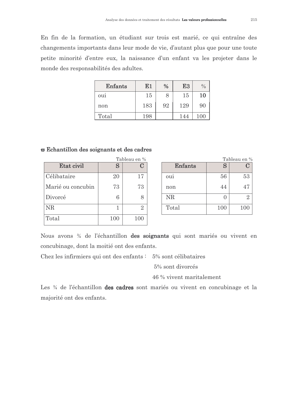En fin de la formation, un étudiant sur trois est marié, ce qui entraîne des changements importants dans leur mode de vie, d'autant plus que pour une toute petite minorité d'entre eux, la naissance d'un enfant va les projeter dans le monde des responsabilités des adultes.

| <b>Enfants</b>  | E1  | $\%$ | E3  | $\frac{0}{0}$ |
|-----------------|-----|------|-----|---------------|
| ou <sub>1</sub> | 15  |      | 15  | 10            |
| non             | 183 | 92   | 129 | 90            |
| Total           | 198 |      | 144 | 100           |

# $\boldsymbol{\varpi}$  Echantillon des soignants et des cadres

|                   |     | Tableau en %  |
|-------------------|-----|---------------|
| Etat civil        | S   | 11            |
| Célibataire       | 20  | 17            |
| Marié ou concubin | 73  | 73            |
| Divorcé           | 6   |               |
| <b>NR</b>         |     | $\mathcal{P}$ |
| Total             | 100 | 100           |

| Tableau en % |     |                |  |  |  |  |
|--------------|-----|----------------|--|--|--|--|
| Enfants      | S   | I :            |  |  |  |  |
| oui          | 56  | 53             |  |  |  |  |
| non          | 44  | 47             |  |  |  |  |
| <b>NR</b>    |     | $\overline{2}$ |  |  |  |  |
| Total        | 100 | 100            |  |  |  |  |

Nous avons ¼ de l'échantillon des soignants qui sont mariés ou vivent en concubinage, dont la moitié ont des enfants.

Chez les infirmiers qui ont des enfants : 5% sont célibataires

5% sont divorcés

46 % vivent maritalement

Les ¼ de l'échantillon des cadres sont mariés ou vivent en concubinage et la majorité ont des enfants.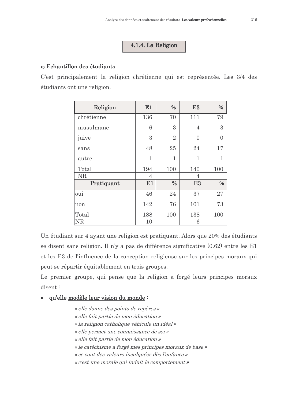# 4.1.4. La Religion

# σ Echantillon des étudiants

C'est principalement la religion chrétienne qui est représentée. Les 3/4 des étudiants ont une religion.

| Religion   | E1  | $\frac{0}{0}$  | E <sub>3</sub> | $\%$   |
|------------|-----|----------------|----------------|--------|
| chrétienne | 136 | 70             | 111            | 79     |
| musulmane  | 6   | 3              | 4              | 3      |
| juive      | 3   | $\overline{2}$ | $\overline{0}$ | $\cap$ |
| sans       | 48  | 25             | 24             | 17     |
| autre      | 1   | 1              | 1              | 1      |
| Total      | 194 | 100            | 140            | 100    |
| <b>NR</b>  | 4   |                | 4              |        |
| Pratiquant | E1  | %              | E <sub>3</sub> | %      |
| oui        | 46  | 24             | 37             | 27     |
| non        | 142 | 76             | 101            | 73     |
| Total      | 188 | 100            | 138            | 100    |
| <b>NR</b>  | 10  |                | 6              |        |

Un étudiant sur 4 ayant une religion est pratiquant. Alors que 20% des étudiants se disent sans religion. Il n'y a pas de différence significative (0.62) entre les E1 et les E3 de l'influence de la conception religieuse sur les principes moraux qui peut se répartir équitablement en trois groupes.

Le premier groupe, qui pense que la religion a forgé leurs principes moraux  $disent:$ 

#### qu'elle modèle leur vision du monde :  $\bullet$

« elle donne des points de repères » « elle fait partie de mon éducation » « la religion catholique véhicule un idéal » « elle permet une connaissance de soi » « elle fait partie de mon éducation » « le catéchisme a forgé mes principes moraux de base » « ce sont des valeurs inculquées dès l'enfance » « c'est une morale qui induit le comportement »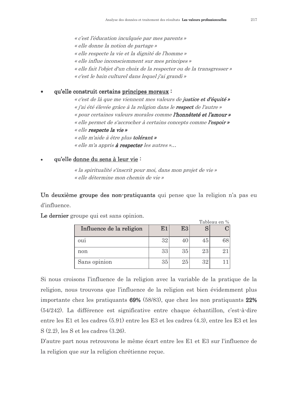« c'est l'éducation inculquée par mes parents » « elle donne la notion de partage » « elle respecte la vie et la dignité de l'homme » « elle influe inconsciemment sur mes principes » « elle fait l'objet d'un choix de la respecter ou de la transgresser » « c'est le bain culturel dans lequel j'ai grandi »

# qu'elle construit certains principes moraux :

« c'est de là que me viennent mes valeurs de justice et d'équité » « j'ai été élevée grâce à la religion dans le respect de l'autre » « pour certaines valeurs morales comme l'honnêteté et l'amour » « elle permet de s'accrocher à certains concepts comme l'espoir » « elle respecte la vie » « elle m'aide à être plus tolérant » « elle m'a appris à respecter les autres »...

## qu'elle donne du sens à leur vie :

« la spiritualité s'inscrit pour moi, dans mon projet de vie » « elle détermine mon chemin de vie »

Un deuxième groupe des non-pratiquants qui pense que la religion n'a pas eu d'influence.

|                          |    |    |    | 1 ableau en % |
|--------------------------|----|----|----|---------------|
| Influence de la religion | E1 | E3 |    |               |
| 0u1                      | 32 |    | 45 | 68            |
| non                      | 33 | 35 | 23 | 21            |
| Sans opinion             | 35 | 25 |    |               |

 $m+1$ 

Le dernier groupe qui est sans opinion.

Si nous croisons l'influence de la religion avec la variable de la pratique de la religion, nous trouvons que l'influence de la religion est bien évidemment plus importante chez les pratiquants 69% (58/83), que chez les non pratiquants 22%  $(54/242)$ . La différence est significative entre chaque échantillon, c'est-à-dire entre les E1 et les cadres (5.91) entre les E3 et les cadres (4.3), entre les E3 et les  $S(2.2)$ , les S et les cadres  $(3.26)$ .

D'autre part nous retrouvons le même écart entre les E1 et E3 sur l'influence de la religion que sur la religion chrétienne reçue.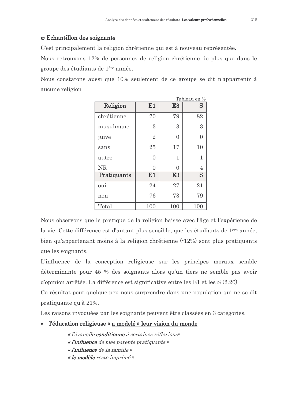$m + 1$ 

# $\boldsymbol{\sigma}$  Echantillon des soignants

C'est principalement la religion chrétienne qui est à nouveau représentée.

Nous retrouvons 12% de personnes de religion chrétienne de plus que dans le groupe des étudiants de 1ère année.

Nous constatons aussi que 10% seulement de ce groupe se dit n'appartenir à aucune religion

| Religion    | E1             | E3             | S   |
|-------------|----------------|----------------|-----|
| chrétienne  | 70             | 79             | 82  |
| musulmane   | 3              | 3              | 3   |
| juive       | $\overline{2}$ | $\overline{0}$ |     |
| sans        | 25             | 17             | 10  |
| autre       | $\overline{0}$ | 1              | 1   |
| <b>NR</b>   | $\Omega$       | 0              | 4   |
| Pratiquants | E1             | E3             | S   |
| oui         | 24             | 27             | 21  |
| non         | 76             | 73             | 79  |
| Total       | 100            | 100            | 100 |

Nous observons que la pratique de la religion baisse avec l'âge et l'expérience de la vie. Cette différence est d'autant plus sensible, que les étudiants de 1<sup>ère</sup> année, bien qu'appartenant moins à la religion chrétienne (-12%) sont plus pratiquants que les soignants.

L'influence de la conception religieuse sur les principes moraux semble déterminante pour 45 % des soignants alors qu'un tiers ne semble pas avoir d'opinion arrêtée. La différence est significative entre les  $E1$  et les  $S(2.20)$ 

Ce résultat peut quelque peu nous surprendre dans une population qui ne se dit pratiquante qu'à 21%.

Les raisons invoquées par les soignants peuvent être classées en 3 catégories.

#### l'éducation religieuse « a modelé » leur vision du monde  $\bullet$

« l'évangile **conditionne** à certaines réflexions» « l'influence de mes parents pratiquants » « l'influence de la famille » « le modèle reste imprimé »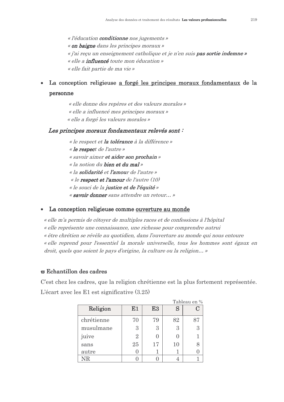« l'éducation conditionne nos jugements » « on baigne dans les principes moraux » « j'ai reçu un enseignement catholique et je n'en suis pas sortie indemne » « elle a **influencé** toute mon éducation » « elle fait partie de ma vie »

La conception religieuse <u>a forgé les principes moraux</u> fondamentaux de la personne

« elle donne des repères et des valeurs morales » « elle a influencé mes principes moraux » « elle a forgé les valeurs morales »

## Les principes moraux fondamentaux relevés sont :

« le respect et la tolérance à la différence » « le respect de l'autre » « savoir aimer et aider son prochain » « la notion du bien et du mal » « la solidarité et l'amour de l'autre » « le respect et l'amour de l'autre (10) « le souci de la justice et de l'équité » « savoir donner sans attendre un retour... »

# La conception religieuse comme ouverture au monde

« elle m'a permis de côtoyer de multiples races et de confessions à l'hôpital « elle représente une connaissance, une richesse pour comprendre autrui « être chrétien se révèle au quotidien, dans l'ouverture au monde qui nous entoure « elle reprend pour l'essentiel la morale universelle, tous les hommes sont égaux en droit, quels que soient le pays d'origine, la culture ou la religion... »

## $\boldsymbol{\sigma}$  Echantillon des cadres

C'est chez les cadres, que la religion chrétienne est la plus fortement représentée. L'écart avec les  $E1$  est significative  $(3.25)$ 

| Tableau en % |               |    |    |     |  |  |  |  |
|--------------|---------------|----|----|-----|--|--|--|--|
| Religion     | E1            | E3 | S  | ( ) |  |  |  |  |
| chrétienne   | 70            | 79 | 82 |     |  |  |  |  |
| musulmane    | 3             | 3  | 3  | 3   |  |  |  |  |
| juive        | $\mathcal{D}$ |    |    |     |  |  |  |  |
| sans         | 25            | 17 | 10 |     |  |  |  |  |
| autre        |               |    |    |     |  |  |  |  |
| ${\rm NR}$   |               |    |    |     |  |  |  |  |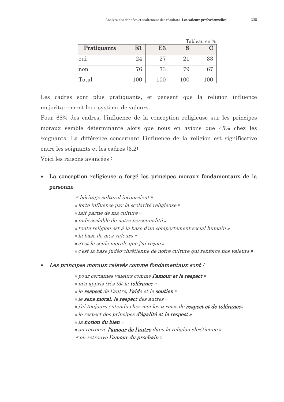| Tableau en % |     |                |    |    |  |  |  |  |
|--------------|-----|----------------|----|----|--|--|--|--|
| Pratiquants  | E1  | E <sub>3</sub> | S  |    |  |  |  |  |
| lou1         | 24  | 27             | 21 | 33 |  |  |  |  |
| non          | 76  | 73             | 79 |    |  |  |  |  |
| `otal        | 100 | 10C            |    |    |  |  |  |  |

Les cadres sont plus pratiquants, et pensent que la religion influence majoritairement leur système de valeurs.

Pour 68% des cadres, l'influence de la conception religieuse sur les principes moraux semble déterminante alors que nous en avions que 45% chez les soignants. La différence concernant l'influence de la religion est significative entre les soignants et les cadres  $(3.2)$ 

Voici les raisons avancées :

#### La conception religieuse a forgé les principes moraux fondamentaux de la  $\bullet$ personne

« héritage culturel inconscient » « forte influence par la scolarité religieuse » « fait partie de ma culture » « indissociable de notre personnalité » « toute religion est à la base d'un comportement social humain » « la base de mes valeurs » « c'est la seule morale que j'ai recue » « c'est la base judéo-chrétienne de notre culture qui renforce nos valeurs »

## Les principes moraux relevés comme fondamentaux sont :

« pour certaines valeurs comme l'amour et le respect » « m'a appris très tôt la tolérance » « le respect de l'autre. l'aide et le soutien » « le sens moral, le respect des autres » « j'ai toujours entendu chez moi les termes de respect et de tolérance» « le respect des principes d'égalité et le respect » « la notion du bien » « on retrouve l'amour de l'autre dans la religion chrétienne » « on retrouve l'amour du prochain »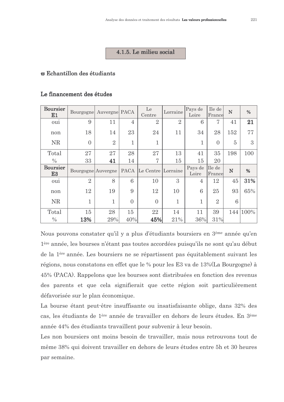# 4.1.5. Le milieu social

#### **σ** Echantillon des étudiants

#### Le financement des études

| <b>Boursier</b><br>E1 | <b>Bourgogne</b>   | Auvergne PACA  |                | Le<br>Centre       | Lorraine       | Pays de<br>Loire | Ile de<br>France | N           | %        |
|-----------------------|--------------------|----------------|----------------|--------------------|----------------|------------------|------------------|-------------|----------|
| <sub>oui</sub>        | 9                  | 11             | $\overline{4}$ | $\overline{2}$     | $\overline{2}$ | 6                | 7                | 41          | 21       |
| non                   | 18                 | 14             | 23             | 24                 | 11             | 34               | 28               | 152         | 77       |
| <b>NR</b>             | $\overline{0}$     | $\overline{2}$ | 1              | $\mathbf{1}$       |                | 1                | $\Omega$         | 5           | 3        |
| Total                 | 27                 | 27             | 28             | 27                 | 13             | 41               | 35               | 198         | 100      |
| $\frac{0}{0}$         | 33                 | 41             | 14             | 7                  | 15             | 15               | 20               |             |          |
| <b>Boursier</b>       |                    |                |                |                    |                | Pays de          | Ile de           |             |          |
| E <sub>3</sub>        | Bourgogne Auvergne |                | PACA           | Le Centre Lorraine |                | Loire            | France           | $\mathbf N$ | %        |
| <sub>oui</sub>        | $\overline{2}$     | 8              | 6              | 10                 | 3              | $\overline{4}$   | 12               | 45          | 31%      |
| non                   | 12                 | 19             | 9              | 12                 | 10             | 6                | 25               | 93          | 65%      |
| <b>NR</b>             | $\mathbf{1}$       | $\mathbf{1}$   | $\theta$       | $\overline{0}$     | $\mathbf{1}$   | $\mathbf{1}$     | $\overline{2}$   | 6           |          |
| Total                 | 15                 | 28             | 15             | 22                 | 14             | 11               | 39               |             | 144 100% |

Nous pouvons constater qu'il y a plus d'étudiants boursiers en 3<sup>ème</sup> année qu'en l<sup>ère</sup> année, les bourses n'étant pas toutes accordées puisqu'ils ne sont qu'au début de la 1<sup>ère</sup> année. Les boursiers ne se répartissent pas équitablement suivant les régions, nous constatons en effet que le % pour les E3 va de 13% (La Bourgogne) à 45% (PACA). Rappelons que les bourses sont distribuées en fonction des revenus des parents et que cela signifierait que cette région soit particulièrement défavorisée sur le plan économique.

La bourse étant peut-être insuffisante ou insatisfaisante oblige, dans 32% des cas, les étudiants de 1<sup>ère</sup> année de travailler en dehors de leurs études. En 3<sup>ème</sup> année 44% des étudiants travaillent pour subvenir à leur besoin.

Les non boursiers ont moins besoin de travailler, mais nous retrouvons tout de même 38% qui doivent travailler en dehors de leurs études entre 5h et 30 heures par semaine.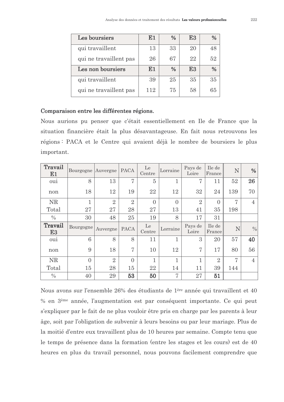| Les boursiers          | E1  | %  | E3 | $\%$          |
|------------------------|-----|----|----|---------------|
| qui travaillent        | 13  | 33 | 20 | 48            |
| qui ne travaillent pas | 26  | 67 | 22 | 52            |
| Les non boursiers      | Е1  | %  | E3 | $\frac{0}{0}$ |
| qui travaillent        | 39  | 25 | 35 | 35            |
| qui ne travaillent pas | 112 | 75 | 58 | 65            |

#### Comparaison entre les différentes régions.

Nous aurions pu penser que c'était essentiellement en Ile de France que la situation financière était la plus désavantageuse. En fait nous retrouvons les régions : PACA et le Centre qui avaient déjà le nombre de boursiers le plus important.

| Travail<br>E1             | Bourgogne Auvergne |                | <b>PACA</b>    | Le<br>Centre   | Lorraine | Pays de<br>Loire | Ile de<br>France | ${\bf N}$ | $\frac{0}{0}$ |
|---------------------------|--------------------|----------------|----------------|----------------|----------|------------------|------------------|-----------|---------------|
| <sub>ou1</sub>            | 8                  | 13             | $\overline{7}$ | $\overline{5}$ | 1        | 7                | 11               | 52        | 26            |
| non                       | 18                 | 12             | 19             | 22             | 12       | 32               | 24               | 139       | 70            |
| <b>NR</b>                 | 1                  | $\overline{2}$ | $\overline{2}$ | $\Omega$       | $\Omega$ | $\overline{2}$   | $\Omega$         | 7         | 4             |
| Total                     | 27                 | 27             | 28             | 27             | 13       | 41               | 35               | 198       |               |
| $\frac{0}{0}$             | 30                 | 48             | 25             | 19             | 8        | 17               | 31               |           |               |
|                           |                    |                |                |                |          |                  |                  |           |               |
| Travail<br>E <sub>3</sub> | Bourgogne          | Auvergne       | <b>PACA</b>    | Le<br>Centre   | Lorraine | Pays de<br>Loire | Ile de<br>France | N         | $\frac{0}{0}$ |
| oui                       | 6                  | 8              | 8              | 11             | 1        | 3                | 20               | 57        | 40            |
| non                       | 9                  | 18             | $\overline{7}$ | 10             | 12       | 7                | 17               | 80        | 56            |
| <b>NR</b>                 | $\Omega$           | $\overline{2}$ | $\Omega$       | 1              | 1        | 1                | $\overline{2}$   | 7         | 4             |
| Total                     | 15                 | 28             | 15             | 22             | 14       | 11               | 39               | 144       |               |

Nous avons sur l'ensemble 26% des étudiants de 1<sup>ère</sup> année qui travaillent et 40 % en 3<sup>ème</sup> année, l'augmentation est par conséquent importante. Ce qui peut s'expliquer par le fait de ne plus vouloir être pris en charge par les parents à leur âge, soit par l'obligation de subvenir à leurs besoins ou par leur mariage. Plus de la moitié d'entre eux travaillent plus de 10 heures par semaine. Compte tenu que le temps de présence dans la formation (entre les stages et les cours) est de 40 heures en plus du travail personnel, nous pouvons facilement comprendre que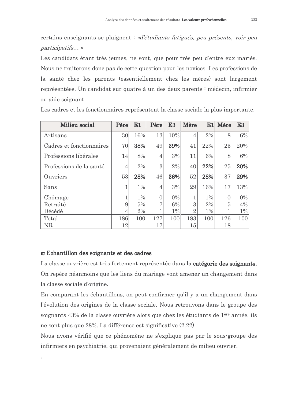certains enseignants se plaignent : «d'étudiants fatigués, peu présents, voir peu participatifs... »

Les candidats étant très jeunes, ne sont, que pour très peu d'entre eux mariés. Nous ne traiterons donc pas de cette question pour les novices. Les professions de la santé chez les parents (essentiellement chez les mères) sont largement représentées. Un candidat sur quatre à un des deux parents : médecin, infirmier ou aide soignant.

| Milieu social            | Père | E1    | Père | E3    | Mère           | E1    | Mère           | E <sub>3</sub> |
|--------------------------|------|-------|------|-------|----------------|-------|----------------|----------------|
| Artisans                 | 30   | 16%   | 13   | 10%   | 4              | 2%    | 8              | 6%             |
| Cadres et fonctionnaires | 70   | 38%   | 49   | 39%   | 41             | 22%   | 25             | 20%            |
| Professions libérales    | 14   | 8%    | 4    | 3%    | 11             | 6%    | 8              | $6\%$          |
| Professions de la santé  | 4    | 2%    | 3    | 2%    | 40             | 22%   | 25             | 20%            |
| Ouvriers                 | 53   | 28%   | 46   | 36%   | 52             | 28%   | 37             | 29%            |
| Sans                     |      | $1\%$ | 4    | 3%    | 29             | 16%   | 17             | 13%            |
| Chômage                  |      | $1\%$ |      | 0%    | 1              | $1\%$ | $\Omega$       | $0\%$          |
| Retraité                 | 9    | 5%    | 7    | $6\%$ | 3              | 2%    | $\overline{5}$ | 4%             |
| Décédé                   | 4    | 2%    |      | $1\%$ | $\overline{2}$ | $1\%$ |                | $1\%$          |
| Total                    | 186  | 100   | 127  | 100   | 183            | 100   | 126            | 100            |
| <b>NR</b>                | 12   |       | 17   |       | $15\,$         |       | 18             |                |

Les cadres et les fonctionnaires représentent la classe sociale la plus importante.

## $\boldsymbol{\varpi}$  Echantillon des soignants et des cadres

La classe ouvrière est très fortement représentée dans la **catégorie des soignants.** On repère néanmoins que les liens du mariage vont amener un changement dans la classe sociale d'origine.

En comparant les échantillons, on peut confirmer qu'il y a un changement dans l'évolution des origines de la classe sociale. Nous retrouvons dans le groupe des soignants 43% de la classe ouvrière alors que chez les étudiants de 1<sup>ère</sup> année, ils ne sont plus que 28%. La différence est significative (2.22)

Nous avons vérifié que ce phénomène ne s'explique pas par le sous-groupe des infirmiers en psychiatrie, qui provenaient généralement de milieu ouvrier.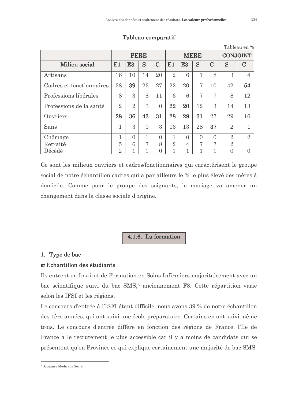|                          |                |                |          |               |                |                |          |             |                 | Tableau en %   |
|--------------------------|----------------|----------------|----------|---------------|----------------|----------------|----------|-------------|-----------------|----------------|
|                          | <b>PERE</b>    |                |          |               | <b>MERE</b>    |                |          |             | <b>CONJOINT</b> |                |
| Milieu social            | E1             | E <sub>3</sub> | S        | $\mathcal{C}$ | E1             | E <sub>3</sub> | S        | $\mathbf C$ | S               | $\mathbf C$    |
| Artisans                 | 16             | 10             | 14       | 20            | $\overline{2}$ | 6              | 7        | 8           | 3               | $\overline{4}$ |
| Cadres et fonctionnaires | 38             | 39             | 23       | 27            | 22             | 20             | 7        | 10          | 42              | 54             |
| Professions libérales    | 8              | 3              | 8        | 11            | 6              | 6              | 7        | 7           | 8               | 12             |
| Professions de la santé  | $\overline{2}$ | $\overline{2}$ | 3        | $\theta$      | 22             | 20             | 12       | 3           | 14              | 13             |
| Ouvriers                 | 28             | 36             | 43       | 31            | 28             | 29             | 31       | 27          | 29              | 16             |
| Sans                     | 1              | 3              | $\theta$ | 3             | 16             | 13             | 28       | 37          | $\overline{2}$  | $\mathbf{1}$   |
| Chômage                  | 1              | $\theta$       |          | $\theta$      | $\mathbf{1}$   | 0              | $\Omega$ | $\Omega$    | $\overline{2}$  | $\overline{2}$ |
| Retraité                 | 5              | 6              | 7        | 8             | $\overline{2}$ | 4              | 7        | 7           | $\overline{2}$  |                |
| Décédé                   | $\overline{2}$ | 1              |          | $\Omega$      | 1              |                |          |             | $\Omega$        | 0              |

# Tableau comparatif

Ce sont les milieux ouvriers et cadres/fonctionnaires qui caractérisent le groupe social de notre échantillon cadres qui a par ailleurs le % le plus élevé des mères à domicile. Comme pour le groupe des soignants, le mariage va amener un changement dans la classe sociale d'origine.

4.1.6. La formation

# 1. Type de bac

# **σ** Echantillon des étudiants

Ils entrent en Institut de Formation en Soins Infirmiers majoritairement avec un bac scientifique suivi du bac SMS,<sup>8</sup> anciennement F8. Cette répartition varie selon les IFSI et les régions.

Le concours d'entrée à l'ISFI étant difficile, nous avons 39 % de notre échantillon des 1ère années, qui ont suivi une école préparatoire. Certains en ont suivi même trois. Le concours d'entrée diffère en fonction des régions de France, l'Ile de France a le recrutement le plus accessible car il y a moins de candidats qui se présentent qu'en Province ce qui explique certainement une majorité de bac SMS.

<sup>&</sup>lt;sup>8</sup> Sanitaire Médicaux Social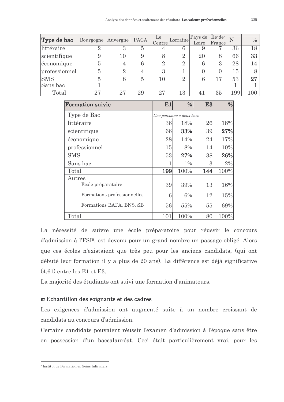| Type de bac   | Bourgogne   Auvergne |          | <b>PACA</b> | Le<br>Centre   | Lorraine       | Pays de<br>Loire | Île-de-<br>France | N      | $\frac{0}{0}$ |
|---------------|----------------------|----------|-------------|----------------|----------------|------------------|-------------------|--------|---------------|
| littéraire    | $\overline{2}$       | 3        | 5           | 4              | 6              | 9                |                   | 36     | 18            |
| scientifique  | 9                    | 10       | 9           | 8              | $\overline{2}$ | 20               | 8                 | 66     | 33            |
| économique    | 5                    |          | 6           | $\overline{2}$ | $\overline{2}$ | 6                | 3                 | 28     | 14            |
| professionnel | 5                    | $\Omega$ |             | 3              |                | $\overline{0}$   |                   | $15\,$ |               |
| <b>SMS</b>    | 5                    | 8        | 5           | 10             | $\overline{2}$ | 6                | 17                | 53     | 27            |
| Sans bac      |                      |          |             |                |                |                  |                   |        |               |
| Total         | 27                   | 27       | 29          | 27             | 13             | 41               | 35                | 199    | 100           |

| <b>Formation suivie</b>     | E1  | $\%$                     | E <sub>3</sub> | $\frac{0}{0}$ |
|-----------------------------|-----|--------------------------|----------------|---------------|
| Type de Bac                 |     | Une personne a deux bacs |                |               |
| littéraire                  | 36  | 18%                      | 26             | 18%           |
| scientifique                | 66  | 33%                      | 39             | 27%           |
| économique                  | 28  | 14%                      | 24             | 17%           |
| professionnel               | 15  | 8%                       | 14             | 10%           |
| <b>SMS</b>                  | 53  | 27%                      | 38             | 26%           |
| Sans bac                    |     | $1\%$                    | 3              | $2\%$         |
| Total                       | 199 | 100%                     | 144            | 100%          |
| Autres:                     |     |                          |                |               |
| Ecole préparatoire          | 39  | 39%                      | 13             | 16%           |
| Formations professionnelles | 6   | 6%                       | 12             | 15%           |
| Formations BAFA, BNS, SB    | 56  | 55%                      | 55             | 69%           |
| Total                       | 101 | 100%                     | 80             | 100%          |

La nécessité de suivre une école préparatoire pour réussir le concours d'admission à l'FSI<sup>9</sup>, est devenu pour un grand nombre un passage obligé. Alors que ces écoles n'existaient que très peu pour les anciens candidats, (qui ont débuté leur formation il y a plus de 20 ans). La différence est déjà significative  $(4.61)$  entre les E1 et E3.

La majorité des étudiants ont suivi une formation d'animateurs.

#### $\boldsymbol{\varpi}$  Echantillon des soignants et des cadres

Les exigences d'admission ont augmenté suite à un nombre croissant de candidats au concours d'admission.

Certains candidats pouvaient réussir l'examen d'admission à l'époque sans être en possession d'un baccalauréat. Ceci était particulièrement vrai, pour les

<sup>&</sup>lt;sup>9</sup> Institut de Formation en Soins Infirmiers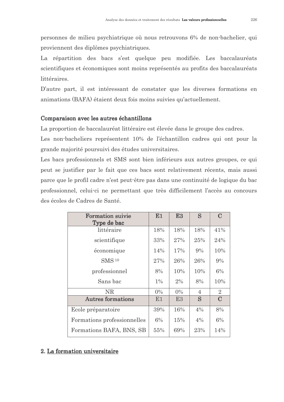personnes de milieu psychiatrique où nous retrouvons 6% de non-bachelier, qui proviennent des diplômes psychiatriques.

La répartition des bacs s'est quelque peu modifiée. Les baccalauréats scientifiques et économiques sont moins représentés au profits des baccalauréats littéraires.

D'autre part, il est intéressant de constater que les diverses formations en animations (BAFA) étaient deux fois moins suivies qu'actuellement.

# Comparaison avec les autres échantillons

La proportion de baccalauréat littéraire est élevée dans le groupe des cadres.

Les non-bacheliers représentent 10% de l'échantillon cadres qui ont pour la grande majorité poursuivi des études universitaires.

Les bacs professionnels et SMS sont bien inférieurs aux autres groupes, ce qui peut se justifier par le fait que ces bacs sont relativement récents, mais aussi parce que le profil cadre n'est peut-être pas dans une continuité de logique du bac professionnel, celui-ci ne permettant que très difficilement l'accès au concours des écoles de Cadres de Santé.

| <b>Formation suivie</b>     | E1    | E3    | S   | $\overline{C}$ |
|-----------------------------|-------|-------|-----|----------------|
| Type de bac                 |       |       |     |                |
| littéraire                  | 18%   | 18%   | 18% | 41%            |
| scientifique                | 33%   | 27%   | 25% | 24%            |
| économique                  | 14%   | 17%   | 9%  | 10%            |
| <b>SMS</b> 10               | 27%   | 26%   | 26% | 9%             |
| professionnel               | 8%    | 10%   | 10% | 6%             |
| Sans bac                    | $1\%$ | 2%    | 8%  | 10%            |
| <b>NR</b>                   | $0\%$ | $0\%$ | 4   | $\overline{2}$ |
| <b>Autres formations</b>    | E1    | E3    | S   | $\overline{C}$ |
| Ecole préparatoire          | 39%   | 16%   | 4%  | 8%             |
| Formations professionnelles | 6%    | 15%   | 4%  | 6%             |
| Formations BAFA, BNS, SB    | 55%   | 69%   | 23% | 14%            |

# 2. La formation universitaire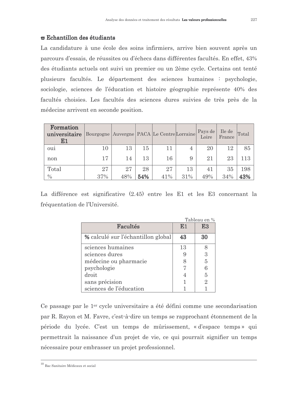# σ Echantillon des étudiants

La candidature à une école des soins infirmiers, arrive bien souvent après un parcours d'essais, de réussites ou d'échecs dans différentes facultés. En effet, 43% des étudiants actuels ont suivi un premier ou un 2ème cycle. Certains ont tenté plusieurs facultés. Le département des sciences humaines : psychologie, sociologie, sciences de l'éducation et histoire géographie représente 40% des facultés choisies. Les facultés des sciences dures suivies de très près de la médecine arrivent en seconde position.

| Formation<br>universitaire<br>${\bf E1}$ | Bourgogne Auvergne PACA Le Centre Lorraine |     |     |        |     | Pays de<br>Loire | Ile de<br>France | Total |
|------------------------------------------|--------------------------------------------|-----|-----|--------|-----|------------------|------------------|-------|
| oui                                      | 10                                         | 13  | 15  | 11     | 4   | 20               | 12               | 85    |
| non                                      | 17                                         | 14  | 13  | $16\,$ | 9   | 21               | 23               | 113   |
| Total                                    | 27                                         | 27  | 28  | 27     | 13  | 41               | 35               | 198   |
| $\frac{0}{0}$                            | 37%                                        | 48% | 54% | 41%    | 31% | 49%              | 34%              | 43%   |

La différence est significative (2.45) entre les E1 et les E3 concernant la fréquentation de l'Université.

|                                    |    | Tableau en %   |
|------------------------------------|----|----------------|
| Facultés                           | E1 | E3             |
| % calculé sur l'échantillon global | 43 | 30             |
| sciences humaines                  | 13 |                |
| sciences dures                     |    | 3              |
| médecine ou pharmacie              |    | 5              |
| psychologie                        |    |                |
| droit                              |    | 5              |
| sans précision                     |    | $\overline{2}$ |
| sciences de l'éducation            |    |                |

Ce passage par le 1<sup>er</sup> cycle universitaire a été défini comme une secondarisation par R. Rayon et M. Favre, c'est-à-dire un temps se rapprochant étonnement de la période du lycée. C'est un temps de mûrissement, « d'espace temps » qui permettrait la naissance d'un projet de vie, ce qui pourrait signifier un temps nécessaire pour embrasser un projet professionnel.

<sup>&</sup>lt;sup>10</sup> Bac Sanitaire Médicaux et social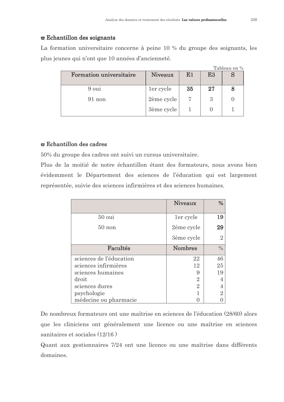# $\boldsymbol{\varpi}$  Echantillon des soignants

La formation universitaire concerne à peine 10 % du groupe des soignants, les plus jeunes qui n'ont que 10 années d'ancienneté.

|                                |                |    |    | Tableau en % |
|--------------------------------|----------------|----|----|--------------|
| <b>Formation universitaire</b> | <b>Niveaux</b> | Е1 | E3 |              |
|                                |                |    |    |              |
| 9 oui                          | ler cycle      | 35 | 27 |              |
| 91 non                         | 2ème cycle     |    | 3  |              |
|                                | 3ème cycle     |    |    |              |

# $\boldsymbol{\sigma}$  Echantillon des cadres

50% du groupe des cadres ont suivi un cursus universitaire.

Plus de la moitié de notre échantillon étant des formateurs, nous avons bien évidemment le Département des sciences de l'éducation qui est largement représentée, suivie des sciences infirmières et des sciences humaines.

|                         | <b>Niveaux</b> | %              |
|-------------------------|----------------|----------------|
| $500$ oui               | ler cycle      | 19             |
| $50$ non                | 2ème cycle     | 29             |
|                         | 3ème cycle     | $\overline{2}$ |
| Facultés                | <b>Nombres</b> | $\frac{0}{0}$  |
| sciences de l'éducation | 22             | 46             |
| sciences infirmières    | 12             | 25             |
| sciences humaines       | 9              | 19             |
| droit                   | $\overline{2}$ |                |
| sciences dures          | 2              |                |
| psychologie             |                | $\overline{2}$ |
| médecine ou pharmacie   |                |                |

De nombreux formateurs ont une maîtrise en sciences de l'éducation (28/60) alors que les cliniciens ont généralement une licence ou une maîtrise en sciences sanitaires et sociales (12/16)

Quant aux gestionnaires 7/24 ont une licence ou une maîtrise dans différents domaines.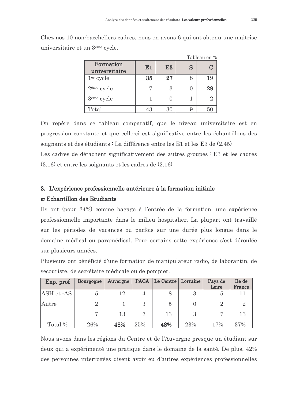Chez nos 10 non-baccheliers cadres, nous en avons 6 qui ont obtenu une maîtrise universitaire et un 3<sup>ème</sup> cycle.

|                            |    |    |             | Tableau en % |
|----------------------------|----|----|-------------|--------------|
| Formation<br>universitaire | E1 | E3 | $\mathbf S$ | $\mathbf C$  |
| 1 <sup>er</sup> cycle      | 35 | 27 |             | 19           |
| 2 <sup>ème</sup> cycle     |    | 3  |             | 29           |
| 3 <sup>ème</sup> cycle     |    |    |             | 9.           |
| Total                      | 43 | 30 |             |              |

On repère dans ce tableau comparatif, que le niveau universitaire est en progression constante et que celle-ci est significative entre les échantillons des soignants et des étudiants : La différence entre les E1 et les E3 de (2.45) Les cadres de détachent significativement des autres groupes : E3 et les cadres  $(3.16)$  et entre les soignants et les cadres de  $(2.16)$ 

# 3. L'expérience professionnelle antérieure à la formation initiale

#### $π$  Echantillon des Etudiants

Ils ont (pour 34%) comme bagage à l'entrée de la formation, une expérience professionnelle importante dans le milieu hospitalier. La plupart ont travaillé sur les périodes de vacances ou parfois sur une durée plus longue dans le domaine médical ou paramédical. Pour certains cette expérience s'est déroulée sur plusieurs années.

Plusieurs ont bénéficié d'une formation de manipulateur radio, de laborantin, de secouriste, de secrétaire médicale ou de pompier.

| Exp. prof  | Bourgogne      | Auvergne |     | PACA   Le Centre   Lorraine |     | Pays de<br>Loire | Ile de<br>France |
|------------|----------------|----------|-----|-----------------------------|-----|------------------|------------------|
| ASH et -AS | $\overline{5}$ | 12       |     |                             | 3   | $\mathfrak{O}$   | 11               |
| Autre      | $\overline{2}$ |          | 3   | $\overline{5}$              |     | $\overline{2}$   | $\overline{2}$   |
|            |                | 13       |     | 13                          | 3   |                  | 13               |
| Total %    | 26%            | 48%      | 25% | 48%                         | 23% | 17%              | 37%              |

Nous avons dans les régions du Centre et de l'Auvergne presque un étudiant sur deux qui a expérimenté une pratique dans le domaine de la santé. De plus, 42% des personnes interrogées disent avoir eu d'autres expériences professionnelles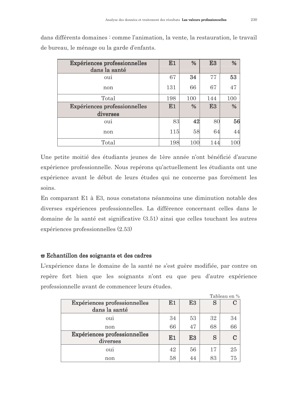| Expériences professionnelles<br>dans la santé | <u>E1</u> | $\%$ | E3  | $\%$ |
|-----------------------------------------------|-----------|------|-----|------|
| ou1                                           | 67        | 34   | 77  | 53   |
| non                                           | 131       | 66   | 67  | 47   |
| Total                                         | 198       | 100  | 144 | 100  |
| Expériences professionnelles                  | E1        | %    | E3  | %    |
| diverses                                      |           |      |     |      |
| oui                                           | 83        | 42   | 80  | 56   |
| non                                           | 115       | 58   | 64  | 44   |
| Total                                         | 198       | 100  | 144 | 100  |

dans différents domaines : comme l'animation, la vente, la restauration, le travail de bureau, le ménage ou la garde d'enfants.

Une petite moitié des étudiants jeunes de 1ère année n'ont bénéficié d'aucune expérience professionnelle. Nous repérons qu'actuellement les étudiants ont une expérience avant le début de leurs études qui ne concerne pas forcément les soins.

En comparant E1 à E3, nous constatons néanmoins une diminution notable des diverses expériences professionnelles. La différence concernant celles dans le domaine de la santé est significative (3.51) ainsi que celles touchant les autres expériences professionnelles (2.53)

# $\boldsymbol{\varpi}$  Echantillon des soignants et des cadres

L'expérience dans le domaine de la santé ne s'est guère modifiée, par contre on repère fort bien que les soignants n'ont eu que peu d'autre expérience professionnelle avant de commencer leurs études.

 $\sim$   $\sim$ 

|                                               |    |                |    | Tableau en % |
|-----------------------------------------------|----|----------------|----|--------------|
| Expériences professionnelles<br>dans la santé | E1 | E <sub>3</sub> | S  |              |
| oui                                           | 34 | 53             | 32 | 34           |
| non                                           | 66 | 47             | 68 | 66           |
| Expériences professionnelles<br>diverses      | E1 | E <sub>3</sub> | S  |              |
| 0u1                                           | 42 | 56             | 17 | 25           |
| non                                           | 58 | 44             | 83 | 75           |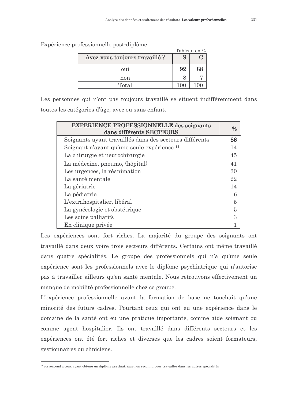|                                | Tableau en % |    |  |
|--------------------------------|--------------|----|--|
| Avez-vous toujours travaillé ? |              |    |  |
| 0u1                            | 92           | 88 |  |
| non                            |              |    |  |
| Total                          |              |    |  |

Expérience professionnelle post-diplôme

Les personnes qui n'ont pas toujours travaillé se situent indifféremment dans toutes les catégories d'âge, avec ou sans enfant.

| <b>EXPERIENCE PROFESSIONNELLE des soignants</b><br>dans différents SECTEURS | $\%$          |
|-----------------------------------------------------------------------------|---------------|
| Soignants ayant travaillés dans des secteurs différents                     | 86            |
| Soignant n'ayant qu'une seule expérience <sup>11</sup>                      | 14            |
| La chirurgie et neurochirurgie                                              | 45            |
| La médecine, pneumo, (hôpital)                                              | 41            |
| Les urgences, la réanimation                                                | 30            |
| La santé mentale                                                            | 22            |
| La gériatrie                                                                | 14            |
| La pédiatrie                                                                | 6             |
| L'extrahospitalier, libéral                                                 | 5             |
| La gynécologie et obstétrique                                               | 5             |
| Les soins palliatifs                                                        | $\mathcal{S}$ |
| En clinique privée                                                          |               |

Les expériences sont fort riches. La majorité du groupe des soignants ont travaillé dans deux voire trois secteurs différents. Certains ont même travaillé dans quatre spécialités. Le groupe des professionnels qui n'a qu'une seule expérience sont les professionnels avec le diplôme psychiatrique qui n'autorise pas à travailler ailleurs qu'en santé mentale. Nous retrouvons effectivement un manque de mobilité professionnelle chez ce groupe.

L'expérience professionnelle avant la formation de base ne touchait qu'une minorité des futurs cadres. Pourtant ceux qui ont eu une expérience dans le domaine de la santé ont eu une pratique importante, comme aide soignant ou comme agent hospitalier. Ils ont travaillé dans différents secteurs et les expériences ont été fort riches et diverses que les cadres soient formateurs, gestionnaires ou cliniciens.

<sup>&</sup>lt;sup>11</sup> correspond à ceux avant obtenu un diplôme psychiatrique non reconnu pour travailler dans les autres spécialités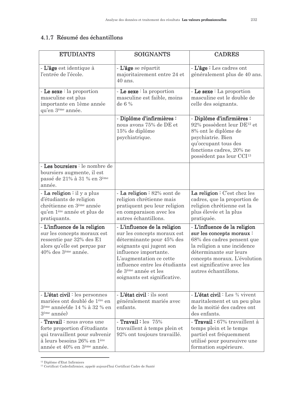# 4.1.7 Résumé des échantillons

| <b>ETUDIANTS</b>                                                                                                                                           | <b>SOIGNANTS</b>                                                                                                                                                                                                                                                              | <b>CADRES</b>                                                                                                                                                                                                                          |
|------------------------------------------------------------------------------------------------------------------------------------------------------------|-------------------------------------------------------------------------------------------------------------------------------------------------------------------------------------------------------------------------------------------------------------------------------|----------------------------------------------------------------------------------------------------------------------------------------------------------------------------------------------------------------------------------------|
| - L'âge est identique à<br>l'entrée de l'école.                                                                                                            | - L'âge se répartit<br>majoritairement entre 24 et<br>$40$ ans.                                                                                                                                                                                                               | - L'âge : Les cadres ont<br>généralement plus de 40 ans.                                                                                                                                                                               |
| - Le sexe $:$ la proportion<br>masculine est plus<br>importante en 1ème année<br>qu'en 3 <sup>ème</sup> année.                                             | - Le sexe $:$ la proportion<br>masculine est faible, moins<br>de 6 %                                                                                                                                                                                                          | - Le sexe $:$ La proportion<br>masculine est le double de<br>celle des soignants.                                                                                                                                                      |
|                                                                                                                                                            | - Diplôme d'infirmières :<br>nous avons 75% de DE et<br>15% de diplôme<br>psychiatrique.                                                                                                                                                                                      | - Diplôme d'infirmières :<br>$92\%$ possèdent leur DE <sup>12</sup> et<br>8% ont le diplôme de<br>psychiatrie. Bien<br>qu'occupant tous des<br>fonctions cadres, 20% ne<br>possèdent pas leur CCI <sup>13</sup>                        |
| - Les boursiers : le nombre de<br>boursiers augmente, il est<br>passé de 21% à 31 % en 3ème<br>année.                                                      |                                                                                                                                                                                                                                                                               |                                                                                                                                                                                                                                        |
| - La religion : il y a plus<br>d'étudiants de religion<br>chrétienne en 3 <sup>ème</sup> année<br>qu'en 1 <sup>ère</sup> année et plus de<br>pratiquants.  | - La religion : 82% sont de<br>religion chrétienne mais<br>pratiquent peu leur religion<br>en comparaison avec les<br>autres échantillons.                                                                                                                                    | La religion : C'est chez les<br>cadres, que la proportion de<br>religion chrétienne est la<br>plus élevée et la plus<br>pratiquée.                                                                                                     |
| - L'influence de la religion<br>sur les concepts moraux est<br>ressentie par 32% des E1<br>alors qu'elle est perçue par<br>40% des 3 <sup>ème</sup> année. | - L'influence de la religion<br>sur les concepts moraux est<br>déterminante pour 45% des<br>soignants qui jugent son<br>influence importante.<br>L'augmentation ce cette<br>influence entre les étudiants<br>de 3 <sup>ème</sup> année et les<br>soignants est significative. | - L'influence de la religion<br>sur les concepts moraux :<br>68% des cadres pensent que<br>la religion a une incidence<br>déterminante sur leurs<br>concepts moraux. L'évolution<br>est significative avec les<br>autres échantillons. |
| - L'état civil : les personnes<br>mariées ont doublé de 1ère en<br>3 <sup>ème</sup> année(de 14 % à 32 % en<br>3 <sup>ème</sup> année)                     | - L'état civil : ils sont<br>généralement mariés avec<br>enfants.                                                                                                                                                                                                             | - L'état civil : Les $\frac{3}{4}$ vivent<br>maritalement et un peu plus<br>de la moitié des cadres ont<br>des enfants.                                                                                                                |
| - Travail : nous avons une<br>forte proportion d'étudiants<br>qui travaillent pour subvenir<br>à leurs besoins 26% en 1ère<br>année et 40% en 3ème année.  | - Travail: les $75%$<br>travaillent à temps plein et<br>92% ont toujours travaillé.                                                                                                                                                                                           | - Travail: 67% travaillent à<br>temps plein et le temps<br>partiel est fréquemment<br>utilisé pour poursuivre une<br>formation supérieure.                                                                                             |

 $^{\rm 12}$  Diplôme d'Etat Infirmiers <br/>  $^{\rm 13}$  Certificat Cadre<br>Infirmier, appelé aujour<br/>d'hui Certificat Cadre de Santé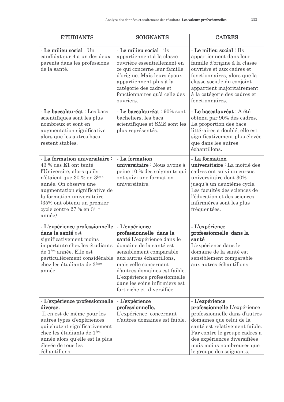| <b>ETUDIANTS</b>                                                                                                                                                                                                                                                                | <b>SOIGNANTS</b>                                                                                                                                                                                                                                                                                                   | <b>CADRES</b>                                                                                                                                                                                                                                                           |
|---------------------------------------------------------------------------------------------------------------------------------------------------------------------------------------------------------------------------------------------------------------------------------|--------------------------------------------------------------------------------------------------------------------------------------------------------------------------------------------------------------------------------------------------------------------------------------------------------------------|-------------------------------------------------------------------------------------------------------------------------------------------------------------------------------------------------------------------------------------------------------------------------|
| - Le milieu social : Un<br>candidat sur 4 a un des deux<br>parents dans les professions<br>de la santé.                                                                                                                                                                         | - Le milieu social : ils<br>appartiennent à la classe<br>ouvrière essentiellement en<br>ce qui concerne leur famille<br>d'origine. Mais leurs époux<br>appartiennent plus à la<br>catégorie des cadres et<br>fonctionnaires qu'à celle des<br>ouvriers.                                                            | - Le milieu social : Ils<br>appartiennent dans leur<br>famille d'origine à la classe<br>ouvrière et aux cadres et<br>fonctionnaires, alors que la<br>classe sociale du conjoint<br>appartient majoritairement<br>à la catégorie des cadres et<br>fonctionnaires.        |
| - Le baccalauréat : Les bacs<br>scientifiques sont les plus<br>nombreux et sont en<br>augmentation significative<br>alors que les autres bacs<br>restent stables.                                                                                                               | - Le baccalauréat : 90% sont<br>bacheliers, les bacs<br>scientifiques et SMS sont les<br>plus représentés.                                                                                                                                                                                                         | - Le baccalauréat : A été<br>obtenu par 90% des cadres.<br>La proportion des bacs<br>littéraires a doublé, elle est<br>significativement plus élevée<br>que dans les autres<br>échantillons.                                                                            |
| - La formation universitaire:<br>43 % des E1 ont tenté<br>l'Université, alors qu'ils<br>n'étaient que 30 % en 3ème<br>année. On observe une<br>augmentation significative de<br>la formation universitaire<br>(35% ont obtenu un premier<br>cycle contre 27 % en 3ème<br>année) | - La formation<br>universitaire : Nous avons à<br>peine 10 % des soignants qui<br>ont suivi une formation<br>universitaire.                                                                                                                                                                                        | - La formation<br>universitaire : La moitié des<br>cadres ont suivi un cursus<br>universitaire dont 30%<br>jusqu'à un deuxième cycle.<br>Les facultés des sciences de<br>l'éducation et des sciences<br>infirmières sont les plus<br>fréquentées.                       |
| - L'expérience professionnelle<br>dans la santé est<br>significativement moins<br>importante chez les étudiants<br>de 1ère année. Elle est<br>particulièrement considérable<br>chez les étudiants de 3 <sup>ème</sup><br>année                                                  | - L'expérience<br>professionnelle dans la<br>santé L'expérience dans le<br>domaine de la santé est<br>sensiblement comparable<br>aux autres échantillons,<br>mais celle concernant<br>d'autres domaines est faible.<br>L'expérience professionnelle<br>dans les soins infirmiers est<br>fort riche et diversifiée. | - L'expérience<br>professionnelle dans la<br>santé<br>L'expérience dans le<br>domaine de la santé est<br>sensiblement comparable<br>aux autres échantillons                                                                                                             |
| - L'expérience professionnelle<br>diverse.<br>Il en est de même pour les<br>autres types d'expériences<br>qui chutent significativement<br>chez les étudiants de 1ère<br>année alors qu'elle est la plus<br>élevée de tous les<br>échantillons.                                 | - L'expérience<br>professionnelle.<br>L'expérience concernant<br>d'autres domaines est faible.                                                                                                                                                                                                                     | - L'expérience<br>professionnelle L'expérience<br>professionnelle dans d'autres<br>domaines que celui de la<br>santé est relativement faible.<br>Par contre le groupe cadres a<br>des expériences diversifiées<br>mais moins nombreuses que<br>le groupe des soignants. |